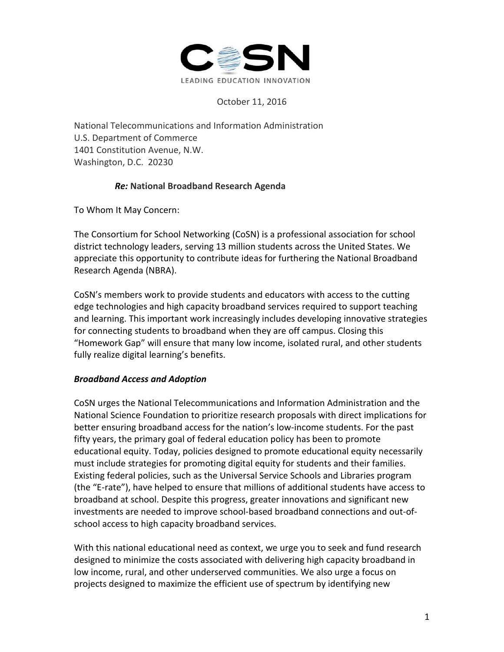

October 11, 2016

National Telecommunications and Information Administration U.S. Department of Commerce 1401 Constitution Avenue, N.W. Washington, D.C. 20230

## *Re:* **National Broadband Research Agenda**

To Whom It May Concern:

The Consortium for School Networking (CoSN) is a professional association for school district technology leaders, serving 13 million students across the United States. We appreciate this opportunity to contribute ideas for furthering the National Broadband Research Agenda (NBRA).

CoSN's members work to provide students and educators with access to the cutting edge technologies and high capacity broadband services required to support teaching and learning. This important work increasingly includes developing innovative strategies for connecting students to broadband when they are off campus. Closing this "Homework Gap" will ensure that many low income, isolated rural, and other students fully realize digital learning's benefits.

## *Broadband Access and Adoption*

CoSN urges the National Telecommunications and Information Administration and the National Science Foundation to prioritize research proposals with direct implications for better ensuring broadband access for the nation's low-income students. For the past fifty years, the primary goal of federal education policy has been to promote educational equity. Today, policies designed to promote educational equity necessarily must include strategies for promoting digital equity for students and their families. Existing federal policies, such as the Universal Service Schools and Libraries program (the "E-rate"), have helped to ensure that millions of additional students have access to broadband at school. Despite this progress, greater innovations and significant new investments are needed to improve school-based broadband connections and out-ofschool access to high capacity broadband services.

With this national educational need as context, we urge you to seek and fund research designed to minimize the costs associated with delivering high capacity broadband in low income, rural, and other underserved communities. We also urge a focus on projects designed to maximize the efficient use of spectrum by identifying new